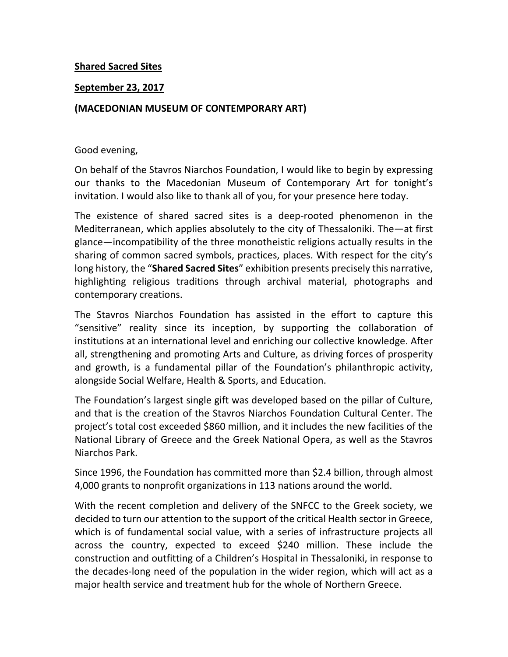## **Shared Sacred Sites**

## **September 23, 2017**

## **(MACEDONIAN MUSEUM OF CONTEMPORARY ART)**

## Good evening,

On behalf of the Stavros Niarchos Foundation, I would like to begin by expressing our thanks to the Macedonian Museum of Contemporary Art for tonight's invitation. I would also like to thank all of you, for your presence here today.

The existence of shared sacred sites is a deep-rooted phenomenon in the Mediterranean, which applies absolutely to the city of Thessaloniki. The—at first glance—incompatibility of the three monotheistic religions actually results in the sharing of common sacred symbols, practices, places. With respect for the city's long history, the "**Shared Sacred Sites**" exhibition presents precisely this narrative, highlighting religious traditions through archival material, photographs and contemporary creations.

The Stavros Niarchos Foundation has assisted in the effort to capture this "sensitive" reality since its inception, by supporting the collaboration of institutions at an international level and enriching our collective knowledge. After all, strengthening and promoting Arts and Culture, as driving forces of prosperity and growth, is a fundamental pillar of the Foundation's philanthropic activity, alongside Social Welfare, Health & Sports, and Education.

The Foundation's largest single gift was developed based on the pillar of Culture, and that is the creation of the Stavros Niarchos Foundation Cultural Center. The project's total cost exceeded \$860 million, and it includes the new facilities of the National Library of Greece and the Greek National Opera, as well as the Stavros Niarchos Park.

Since 1996, the Foundation has committed more than \$2.4 billion, through almost 4,000 grants to nonprofit organizations in 113 nations around the world.

With the recent completion and delivery of the SNFCC to the Greek society, we decided to turn our attention to the support of the critical Health sector in Greece, which is of fundamental social value, with a series of infrastructure projects all across the country, expected to exceed \$240 million. These include the construction and outfitting of a Children's Hospital in Thessaloniki, in response to the decades-long need of the population in the wider region, which will act as a major health service and treatment hub for the whole of Northern Greece.